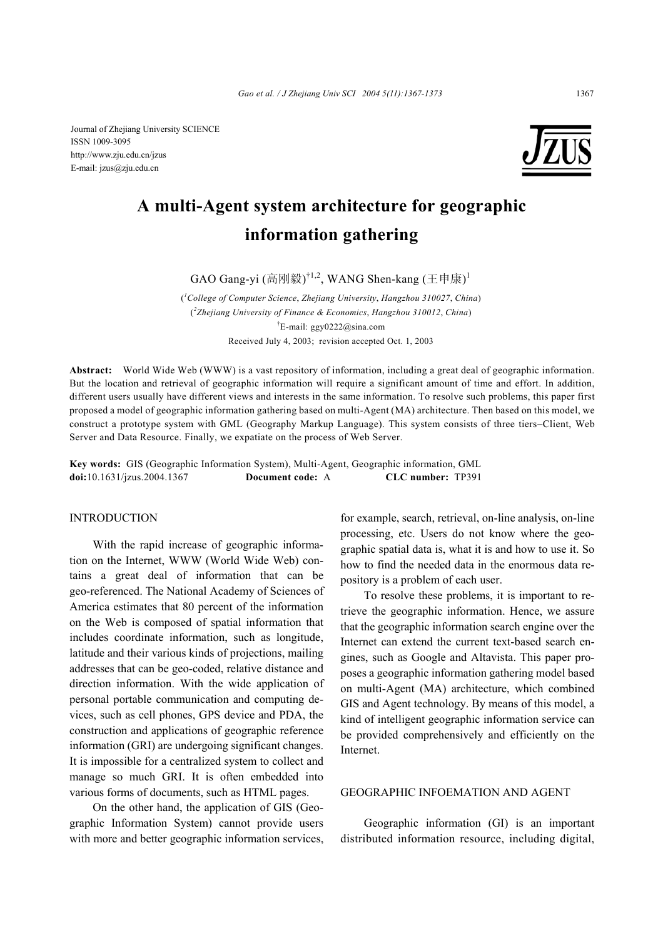Journal of Zhejiang University SCIENCE ISSN 1009-3095 http://www.zju.edu.cn/jzus E-mail: jzus@zju.edu.cn



# **A multi-Agent system architecture for geographic information gathering**

GAO Gang-yi (高刚毅) $^{\dagger1,2}$ , WANG Shen-kang (王申康) $^{\dagger}$ 

( *1 College of Computer Science*, *Zhejiang University*, *Hangzhou 310027*, *China*) ( *2 Zhejiang University of Finance & Economics*, *Hangzhou 310012*, *China*) † E-mail: ggy0222@sina.com Received July 4, 2003; revision accepted Oct. 1, 2003

**Abstract:** World Wide Web (WWW) is a vast repository of information, including a great deal of geographic information. But the location and retrieval of geographic information will require a significant amount of time and effort. In addition, different users usually have different views and interests in the same information. To resolve such problems, this paper first proposed a model of geographic information gathering based on multi-Agent (MA) architecture. Then based on this model, we construct a prototype system with GML (Geography Markup Language). This system consists of three tiers−Client, Web Server and Data Resource. Finally, we expatiate on the process of Web Server.

**Key words:** GIS (Geographic Information System), Multi-Agent, Geographic information, GML **doi:**10.1631/jzus.2004.1367 **Document code:** A **CLC number:** TP391

## INTRODUCTION

With the rapid increase of geographic information on the Internet, WWW (World Wide Web) contains a great deal of information that can be geo-referenced. The National Academy of Sciences of America estimates that 80 percent of the information on the Web is composed of spatial information that includes coordinate information, such as longitude, latitude and their various kinds of projections, mailing addresses that can be geo-coded, relative distance and direction information. With the wide application of personal portable communication and computing devices, such as cell phones, GPS device and PDA, the construction and applications of geographic reference information (GRI) are undergoing significant changes. It is impossible for a centralized system to collect and manage so much GRI. It is often embedded into various forms of documents, such as HTML pages.

On the other hand, the application of GIS (Geographic Information System) cannot provide users with more and better geographic information services, for example, search, retrieval, on-line analysis, on-line processing, etc. Users do not know where the geographic spatial data is, what it is and how to use it. So how to find the needed data in the enormous data repository is a problem of each user.

To resolve these problems, it is important to retrieve the geographic information. Hence, we assure that the geographic information search engine over the Internet can extend the current text-based search engines, such as Google and Altavista. This paper proposes a geographic information gathering model based on multi-Agent (MA) architecture, which combined GIS and Agent technology. By means of this model, a kind of intelligent geographic information service can be provided comprehensively and efficiently on the Internet.

# GEOGRAPHIC INFOEMATION AND AGENT

Geographic information (GI) is an important distributed information resource, including digital,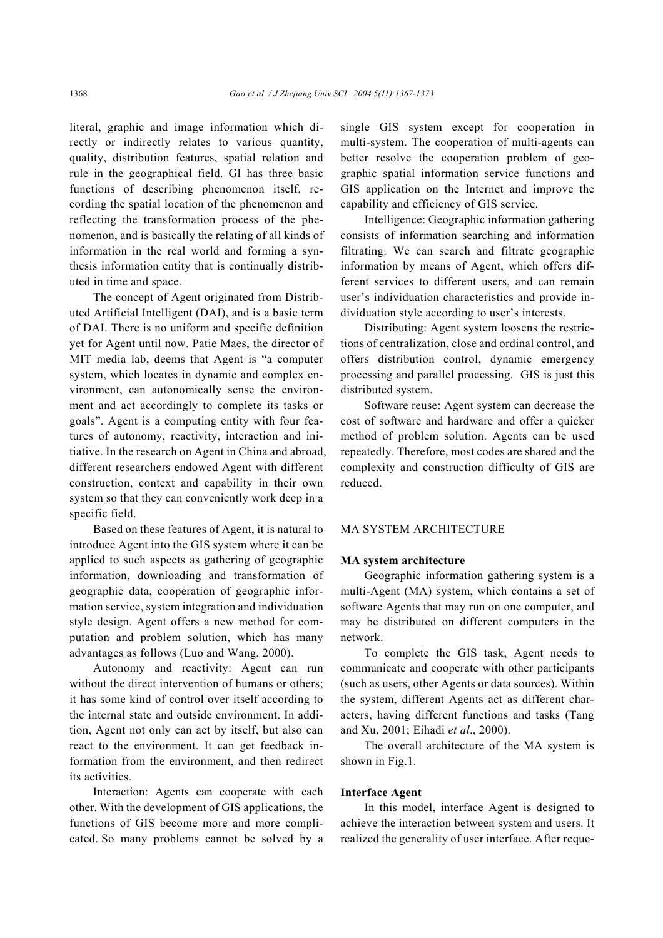literal, graphic and image information which directly or indirectly relates to various quantity, quality, distribution features, spatial relation and rule in the geographical field. GI has three basic functions of describing phenomenon itself, recording the spatial location of the phenomenon and reflecting the transformation process of the phenomenon, and is basically the relating of all kinds of information in the real world and forming a synthesis information entity that is continually distributed in time and space.

The concept of Agent originated from Distributed Artificial Intelligent (DAI), and is a basic term of DAI. There is no uniform and specific definition yet for Agent until now. Patie Maes, the director of MIT media lab, deems that Agent is "a computer system, which locates in dynamic and complex environment, can autonomically sense the environment and act accordingly to complete its tasks or goals". Agent is a computing entity with four features of autonomy, reactivity, interaction and initiative. In the research on Agent in China and abroad, different researchers endowed Agent with different construction, context and capability in their own system so that they can conveniently work deep in a specific field.

Based on these features of Agent, it is natural to introduce Agent into the GIS system where it can be applied to such aspects as gathering of geographic information, downloading and transformation of geographic data, cooperation of geographic information service, system integration and individuation style design. Agent offers a new method for computation and problem solution, which has many advantages as follows (Luo and Wang, 2000).

Autonomy and reactivity: Agent can run without the direct intervention of humans or others; it has some kind of control over itself according to the internal state and outside environment. In addition, Agent not only can act by itself, but also can react to the environment. It can get feedback information from the environment, and then redirect its activities.

Interaction: Agents can cooperate with each other. With the development of GIS applications, the functions of GIS become more and more complicated. So many problems cannot be solved by a single GIS system except for cooperation in multi-system. The cooperation of multi-agents can better resolve the cooperation problem of geographic spatial information service functions and GIS application on the Internet and improve the capability and efficiency of GIS service.

Intelligence: Geographic information gathering consists of information searching and information filtrating. We can search and filtrate geographic information by means of Agent, which offers different services to different users, and can remain user's individuation characteristics and provide individuation style according to user's interests.

Distributing: Agent system loosens the restrictions of centralization, close and ordinal control, and offers distribution control, dynamic emergency processing and parallel processing. GIS is just this distributed system.

Software reuse: Agent system can decrease the cost of software and hardware and offer a quicker method of problem solution. Agents can be used repeatedly. Therefore, most codes are shared and the complexity and construction difficulty of GIS are reduced.

## MA SYSTEM ARCHITECTURE

# **MA system architecture**

Geographic information gathering system is a multi-Agent (MA) system, which contains a set of software Agents that may run on one computer, and may be distributed on different computers in the network.

To complete the GIS task, Agent needs to communicate and cooperate with other participants (such as users, other Agents or data sources). Within the system, different Agents act as different characters, having different functions and tasks (Tang and Xu, 2001; Eihadi *et al*., 2000).

The overall architecture of the MA system is shown in Fig.1.

## **Interface Agent**

In this model, interface Agent is designed to achieve the interaction between system and users. It realized the generality of user interface. After reque-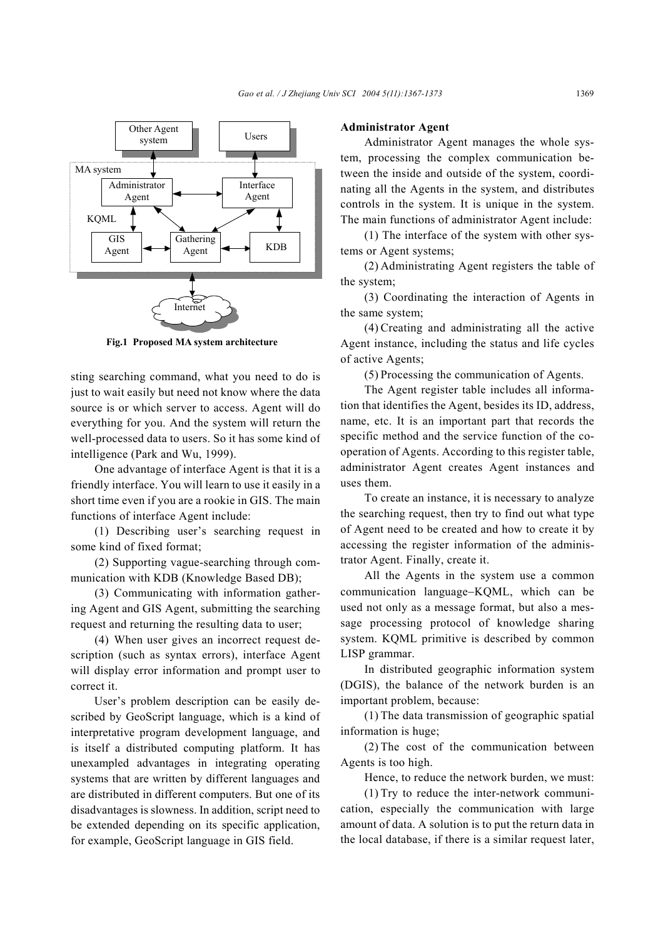

**Fig.1 Proposed MA system architecture**

sting searching command, what you need to do is just to wait easily but need not know where the data source is or which server to access. Agent will do everything for you. And the system will return the well-processed data to users. So it has some kind of intelligence (Park and Wu, 1999).

One advantage of interface Agent is that it is a friendly interface. You will learn to use it easily in a short time even if you are a rookie in GIS. The main functions of interface Agent include:

(1) Describing user's searching request in some kind of fixed format;

(2) Supporting vague-searching through communication with KDB (Knowledge Based DB);

(3) Communicating with information gathering Agent and GIS Agent, submitting the searching request and returning the resulting data to user;

(4) When user gives an incorrect request description (such as syntax errors), interface Agent will display error information and prompt user to correct it.

User's problem description can be easily described by GeoScript language, which is a kind of interpretative program development language, and is itself a distributed computing platform. It has unexampled advantages in integrating operating systems that are written by different languages and are distributed in different computers. But one of its disadvantages is slowness. In addition, script need to be extended depending on its specific application, for example, GeoScript language in GIS field.

# **Administrator Agent**

Administrator Agent manages the whole system, processing the complex communication between the inside and outside of the system, coordinating all the Agents in the system, and distributes controls in the system. It is unique in the system. The main functions of administrator Agent include:

(1) The interface of the system with other systems or Agent systems;

(2) Administrating Agent registers the table of the system;

(3) Coordinating the interaction of Agents in the same system;

(4) Creating and administrating all the active Agent instance, including the status and life cycles of active Agents;

(5) Processing the communication of Agents.

The Agent register table includes all information that identifies the Agent, besides its ID, address, name, etc. It is an important part that records the specific method and the service function of the cooperation of Agents. According to this register table, administrator Agent creates Agent instances and uses them.

To create an instance, it is necessary to analyze the searching request, then try to find out what type of Agent need to be created and how to create it by accessing the register information of the administrator Agent. Finally, create it.

All the Agents in the system use a common communication language−KQML, which can be used not only as a message format, but also a message processing protocol of knowledge sharing system. KQML primitive is described by common LISP grammar.

In distributed geographic information system (DGIS), the balance of the network burden is an important problem, because:

(1) The data transmission of geographic spatial information is huge;

(2) The cost of the communication between Agents is too high.

Hence, to reduce the network burden, we must:

(1) Try to reduce the inter-network communication, especially the communication with large amount of data. A solution is to put the return data in the local database, if there is a similar request later,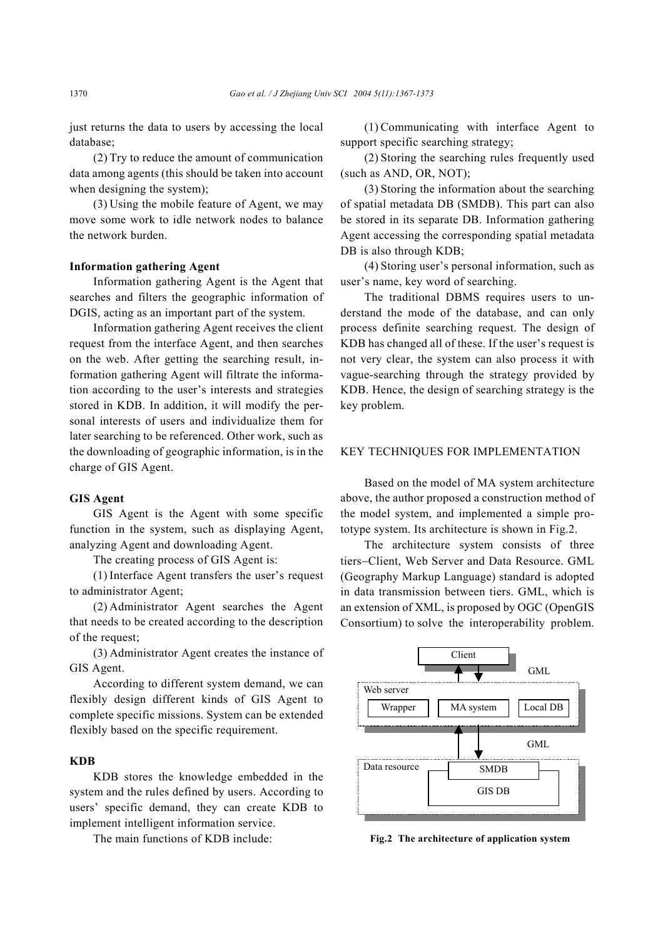just returns the data to users by accessing the local database;

(2) Try to reduce the amount of communication data among agents (this should be taken into account when designing the system);

(3) Using the mobile feature of Agent, we may move some work to idle network nodes to balance the network burden.

# **Information gathering Agent**

Information gathering Agent is the Agent that searches and filters the geographic information of DGIS, acting as an important part of the system.

Information gathering Agent receives the client request from the interface Agent, and then searches on the web. After getting the searching result, information gathering Agent will filtrate the information according to the user's interests and strategies stored in KDB. In addition, it will modify the personal interests of users and individualize them for later searching to be referenced. Other work, such as the downloading of geographic information, is in the charge of GIS Agent.

#### **GIS Agent**

GIS Agent is the Agent with some specific function in the system, such as displaying Agent, analyzing Agent and downloading Agent.

The creating process of GIS Agent is:

(1) Interface Agent transfers the user's request to administrator Agent;

(2) Administrator Agent searches the Agent that needs to be created according to the description of the request;

(3) Administrator Agent creates the instance of GIS Agent.

According to different system demand, we can flexibly design different kinds of GIS Agent to complete specific missions. System can be extended flexibly based on the specific requirement.

# **KDB**

KDB stores the knowledge embedded in the system and the rules defined by users. According to users' specific demand, they can create KDB to implement intelligent information service.

The main functions of KDB include:

(1) Communicating with interface Agent to support specific searching strategy;

(2) Storing the searching rules frequently used (such as AND, OR, NOT);

(3) Storing the information about the searching of spatial metadata DB (SMDB). This part can also be stored in its separate DB. Information gathering Agent accessing the corresponding spatial metadata DB is also through KDB;

(4) Storing user's personal information, such as user's name, key word of searching.

The traditional DBMS requires users to understand the mode of the database, and can only process definite searching request. The design of KDB has changed all of these. If the user's request is not very clear, the system can also process it with vague-searching through the strategy provided by KDB. Hence, the design of searching strategy is the key problem.

# KEY TECHNIQUES FOR IMPLEMENTATION

Based on the model of MA system architecture above, the author proposed a construction method of the model system, and implemented a simple prototype system. Its architecture is shown in Fig.2.

The architecture system consists of three tiers−Client, Web Server and Data Resource. GML (Geography Markup Language) standard is adopted in data transmission between tiers. GML, which is an extension of XML, is proposed by OGC (OpenGIS Consortium) to solve the interoperability problem.



**Fig.2 The architecture of application system**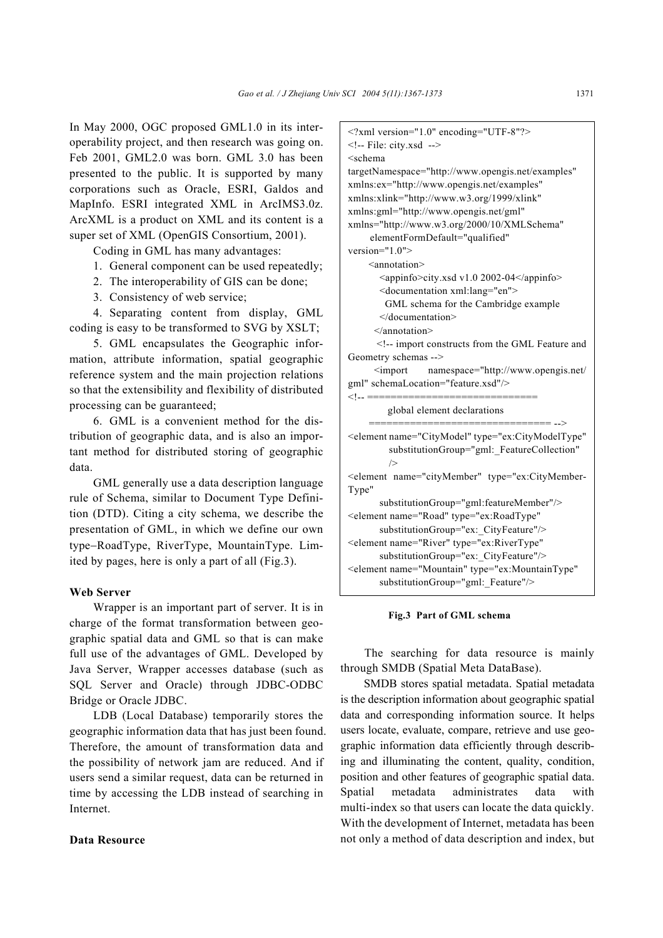In May 2000, OGC proposed GML1.0 in its interoperability project, and then research was going on. Feb 2001, GML2.0 was born. GML 3.0 has been presented to the public. It is supported by many corporations such as Oracle, ESRI, Galdos and MapInfo. ESRI integrated XML in ArcIMS3.0z. ArcXML is a product on XML and its content is a super set of XML (OpenGIS Consortium, 2001).

Coding in GML has many advantages:

- 1. General component can be used repeatedly;
- 2. The interoperability of GIS can be done;
- 3. Consistency of web service;

4. Separating content from display, GML coding is easy to be transformed to SVG by XSLT;

5. GML encapsulates the Geographic information, attribute information, spatial geographic reference system and the main projection relations so that the extensibility and flexibility of distributed processing can be guaranteed;

6. GML is a convenient method for the distribution of geographic data, and is also an important method for distributed storing of geographic data.

GML generally use a data description language rule of Schema, similar to Document Type Definition (DTD). Citing a city schema, we describe the presentation of GML, in which we define our own type−RoadType, RiverType, MountainType. Limited by pages, here is only a part of all (Fig.3).

# **Web Server**

Wrapper is an important part of server. It is in charge of the format transformation between geographic spatial data and GML so that is can make full use of the advantages of GML. Developed by Java Server, Wrapper accesses database (such as SQL Server and Oracle) through JDBC-ODBC Bridge or Oracle JDBC.

LDB (Local Database) temporarily stores the geographic information data that has just been found. Therefore, the amount of transformation data and the possibility of network jam are reduced. And if users send a similar request, data can be returned in time by accessing the LDB instead of searching in Internet.

## **Data Resource**

 $\leq$ ?xml version="1.0" encoding="UTF-8"?> <!-- File: city.xsd --> <schema targetNamespace="http://www.opengis.net/examples" xmlns:ex="http://www.opengis.net/examples" xmlns:xlink="http://www.w3.org/1999/xlink" xmlns:gml="http://www.opengis.net/gml" xmlns="http://www.w3.org/2000/10/XMLSchema" elementFormDefault="qualified" version="1.0"> <annotation> <appinfo>city.xsd v1.0 2002-04</appinfo> <documentation xml:lang="en"> GML schema for the Cambridge example </documentation> </annotation> <!-- import constructs from the GML Feature and Geometry schemas --> <import namespace="http://www.opengis.net/ gml" schemaLocation="feature.xsd"/> <!.. ============================== global element declarations =============================== --> <element name="CityModel" type="ex:CityModelType" substitutionGroup="gml:\_FeatureCollection" /> <element name="cityMember" type="ex:CityMember-Type" substitutionGroup="gml:featureMember"/> <element name="Road" type="ex:RoadType" substitutionGroup="ex:\_CityFeature"/> <element name="River" type="ex:RiverType" substitutionGroup="ex:\_CityFeature"/> <element name="Mountain" type="ex:MountainType" substitutionGroup="gml: Feature"/>

#### **Fig.3 Part of GML schema**

The searching for data resource is mainly through SMDB (Spatial Meta DataBase).

SMDB stores spatial metadata. Spatial metadata is the description information about geographic spatial data and corresponding information source. It helps users locate, evaluate, compare, retrieve and use geographic information data efficiently through describing and illuminating the content, quality, condition, position and other features of geographic spatial data. Spatial metadata administrates data with multi-index so that users can locate the data quickly. With the development of Internet, metadata has been not only a method of data description and index, but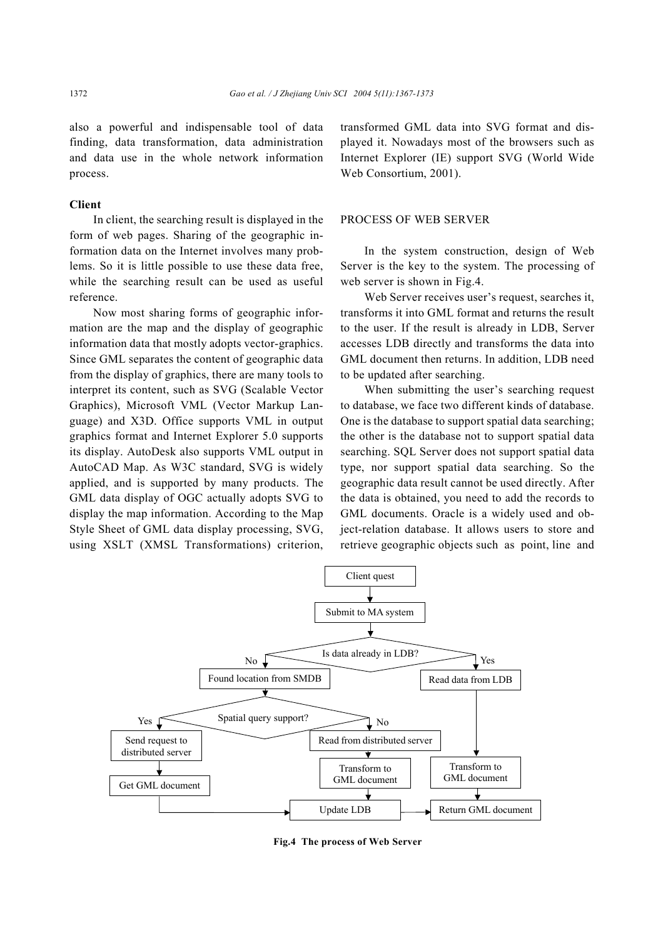also a powerful and indispensable tool of data finding, data transformation, data administration and data use in the whole network information process.

# **Client**

In client, the searching result is displayed in the form of web pages. Sharing of the geographic information data on the Internet involves many problems. So it is little possible to use these data free, while the searching result can be used as useful reference.

Now most sharing forms of geographic information are the map and the display of geographic information data that mostly adopts vector-graphics. Since GML separates the content of geographic data from the display of graphics, there are many tools to interpret its content, such as SVG (Scalable Vector Graphics), Microsoft VML (Vector Markup Language) and X3D. Office supports VML in output graphics format and Internet Explorer 5.0 supports its display. AutoDesk also supports VML output in AutoCAD Map. As W3C standard, SVG is widely applied, and is supported by many products. The GML data display of OGC actually adopts SVG to display the map information. According to the Map Style Sheet of GML data display processing, SVG, using XSLT (XMSL Transformations) criterion,

transformed GML data into SVG format and displayed it. Nowadays most of the browsers such as Internet Explorer (IE) support SVG (World Wide Web Consortium, 2001).

## PROCESS OF WEB SERVER

In the system construction, design of Web Server is the key to the system. The processing of web server is shown in Fig.4.

Web Server receives user's request, searches it, transforms it into GML format and returns the result to the user. If the result is already in LDB, Server accesses LDB directly and transforms the data into GML document then returns. In addition, LDB need to be updated after searching.

When submitting the user's searching request to database, we face two different kinds of database. One is the database to support spatial data searching; the other is the database not to support spatial data searching. SQL Server does not support spatial data type, nor support spatial data searching. So the geographic data result cannot be used directly. After the data is obtained, you need to add the records to GML documents. Oracle is a widely used and object-relation database. It allows users to store and retrieve geographic objects such as point, line and



**Fig.4 The process of Web Server**